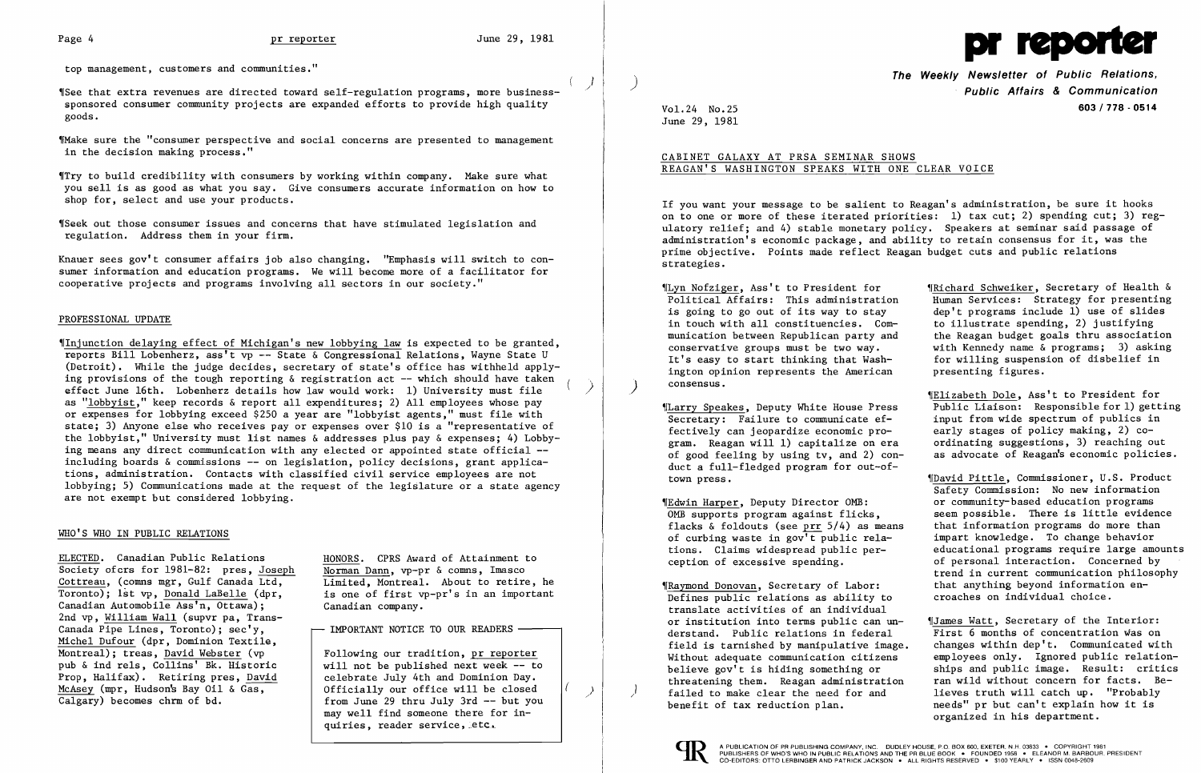.<br>الر  $\mathbf{r}$ 



top management, customers and communities."

'ISee that extra revenues are directed toward self-regulation programs, more businesssponsored consumer community projects are expanded efforts to provide high quality goods.

"Make sure the "consumer perspective and social concerns are presented to management in the decision making process."

'ITry to build credibility with consumers by working within company. Make sure what you sell is as good as what you say. Give consumers accurate information on how to shop for, select and use your products.

'ISeek out those consumer issues and concerns that have stimulated legislation and regulation. Address them in your firm.

Knauer sees gov't consumer affairs job also changing. "Emphasis will switch to consumer information and education programs. We will become more of a facilitator for cooperative projects and programs involving all sectors in our society."

## PROFESSIONAL UPDATE

'IInjunction delaying effect of Michigan's new lobbying law is expected to be granted, reports Bill Lobenherz, ass't vp -- State & Congressional Relations, Wayne State U (Detroit). While the judge decides, secretary of state's office has withheld applying provisions of the tough reporting  $\&$  registration act  $-$ - which should have taken effect June 16th. Lobenherz details how law would work: 1) University must file as "lobbyist," keep records & report all expenditures; 2) All employees whose pay or expenses for lobbying exceed \$250 a year are "lobbyist agents," must file with state; 3) Anyone else who receives payor expenses over \$10 is a "representative of the lobbyist," University must list names & addresses plus pay & expenses; 4) Lobbying means any direct communication with any elected or appointed state official -including boards  $\&$  commissions  $--$  on legislation, policy decisions, grant applications, administration. Contacts with classified civil service employees are not lobbying; 5) Communications made at the request of the legislature or a state agency are not exempt but considered lobbying.

) i<br>I

The Weekly Newsletter of Public Relations,<br>Public Affairs & Communication Vol. 24 No. 25 603/778 - 0514

#### WHO'S WHO IN PUBLIC RELATIONS

ELECTED. Canadian Public Relations HONORS. CPRS Award of Attainment to<br>Society of crs for 1981-82: pres. Joseph Norman Dann. vp-pr & comms. Imasco Cottreau, (comms mgr, Gulf Canada Ltd, Limited, Montreal. About to retire, he Toronto); 1st vp, Donald LaBelle (dpr, is one of first vp-pr's in an important Canadian Automobile Ass'n, Ottawa); Canadian company. 2nd vp, William Wall (supvr pa, Trans-Canada Pipe Lines, Toronto);  $sec'y$ ,  $\longrightarrow$  IMPORTANT NOTICE TO OUR READERS -Michel Dufour (dpr, Dominion Textile, Montreal); treas, David Webster (vp Following our tradition, pr reporter pub & ind rels, Collins' Bk. Historic  $\parallel$  will not be published next week -- to Prop, Halifax). Retiring pres, David celebrate July 4th and Dominion Day.<br>McAsey (mpr, Hudson's Bay 011 & Gas, fiscially our office will be closed  $\frac{\text{McAsey (mpr, Hudson's Bay Oil & Gas)}{\text{Calgary}}$  becomes chrm of bd.<br>  $\frac{\text{Calgary}}{\text{Calgary}}$  becomes chrm of bd.<br>  $\frac{\text{Calgary}}{\text{Calgary}}$ 

Norman Dann, vp-pr & comns, Imasco

from June 29 thru July 3rd  $-$  but you may well find someone there for inquiries, reader service, letc.

) /

| "Lyn Nofziger, Ass't to President for        | IRichard Schweiker, Secretary of Health &  |
|----------------------------------------------|--------------------------------------------|
| Political Affairs: This administration       | Human Services: Strategy for presenting    |
| is going to go out of its way to stay        | dep't programs include 1) use of slides    |
| in touch with all constituencies. Com-       | to illustrate spending, 2) justifying      |
| munication between Republican party and      | the Reagan budget goals thru association   |
| conservative groups must be two way.         | with Kennedy name & programs; 3) asking    |
| It's easy to start thinking that Wash-       | for willing suspension of disbelief in     |
| ington opinion represents the American       | presenting figures.                        |
| consensus.                                   |                                            |
|                                              | "Elizabeth Dole, Ass't to President for    |
| "Larry Speakes, Deputy White House Press     | Public Liaison: Responsible for 1) getting |
| Secretary: Failure to communicate ef-        | input from wide spectrum of publics in     |
| fectively can jeopardize economic pro-       | early stages of policy making, 2) co-      |
| gram. Reagan will 1) capitalize on era       | ordinating suggestions, 3) reaching out    |
| of good feeling by using tv, and 2) con-     | as advocate of Reagan's economic policies. |
| duct a full-fledged program for out-of-      |                                            |
| town press.                                  | ¶David Pittle, Commissioner, U.S. Product  |
|                                              | Safety Commission: No new information      |
| "Edwin Harper, Deputy Director OMB:          | or community-based education programs      |
| OMB supports program against flicks,         | seem possible. There is little evidence    |
| flacks & foldouts (see prr $5/4$ ) as means  | that information programs do more than     |
| of curbing waste in gov't public rela-       | impart knowledge. To change behavior       |
| tions. Claims widespread public per-         | educational programs require large amounts |
| ception of excessive spending.               | of personal interaction. Concerned by      |
|                                              | trend in current communication philosophy  |
| <b>WRaymond Donovan, Secretary of Labor:</b> | that anything beyond information en-       |
| Defines public relations as ability to       | croaches on individual choice.             |
| translate activities of an individual        |                                            |
| or institution into terms public can un-     | ¶James Watt, Secretary of the Interior:    |
| derstand. Public relations in federal        | First 6 months of concentration was on     |
| field is tarnished by manipulative image.    | changes within dep't. Communicated with    |
| Without adequate communication citizens      | employees only. Ignored public relation-   |
| believe gov't is hiding something or         | ships and public image. Result: critics    |
| threatening them. Reagan administration      | ran wild without concern for facts. Be-    |
| failed to make clear the need for and        | lieves truth will catch up. "Probably      |
| benefit of tax reduction plan.               | needs" pr but can't explain how it is      |
|                                              | organized in his department.               |
|                                              |                                            |

June 29, 1981

# CABINET GALAXY AT PRSA SEMINAR SHOWS REAGAN'S WASHINGTON SPEAKS WITH ONE CLEAR VOICE

If you want your message to be salient to Reagan's administration, be sure it hooks on to one or more of these iterated priorities: 1) tax cut; 2) spending cut; 3) regulatory relief; and 4) stable monetary policy. Speakers at seminar said passage of administration's economic package, and ability to retain consensus for it, was the prime objective. Points made reflect Reagan budget cuts and public relations strategies.